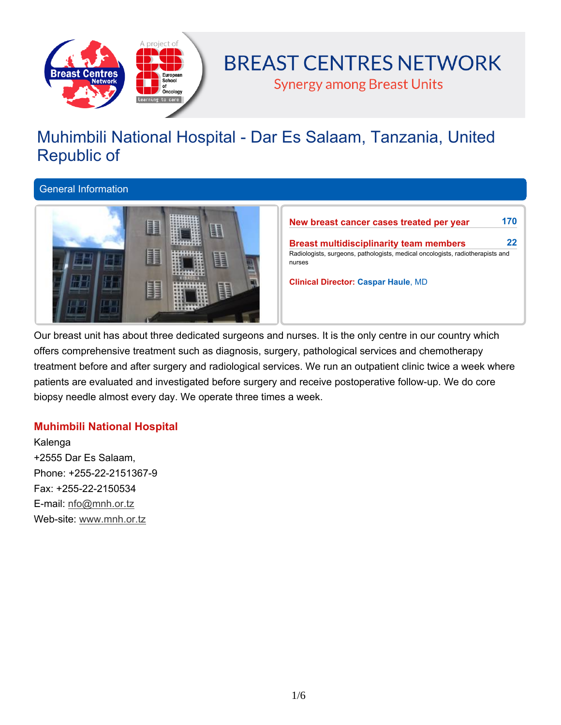

# **BREAST CENTRES NETWORK**

**Synergy among Breast Units** 

# **Muhimbili National Hospital - Dar Es Salaam, Tanzania, United Republic of**

**General Information**



**New breast cancer cases treated per year 170 Breast multidisciplinarity team members 22 Radiologists, surgeons, pathologists, medical oncologists, radiotherapists and nurses Clinical Director: Caspar Haule, MD**

Our breast unit has about three dedicated surgeons and nurses. It is the only centre in our country which **offers comprehensive treatment such as diagnosis, surgery, pathological services and chemotherapy** treatment before and after surgery and radiological services. We run an outpatient clinic twice a week where **patients are evaluated and investigated before surgery and receive postoperative follow-up. We do core biopsy needle almost every day. We operate three times a week.**

# **Muhimbili National Hospital**

**Kalenga +2555 Dar Es Salaam, Phone: +255-22-2151367-9 Fax: +255-22-2150534 E-mail: nfo@mnh.or.tz Web-site: www.mnh.or.tz**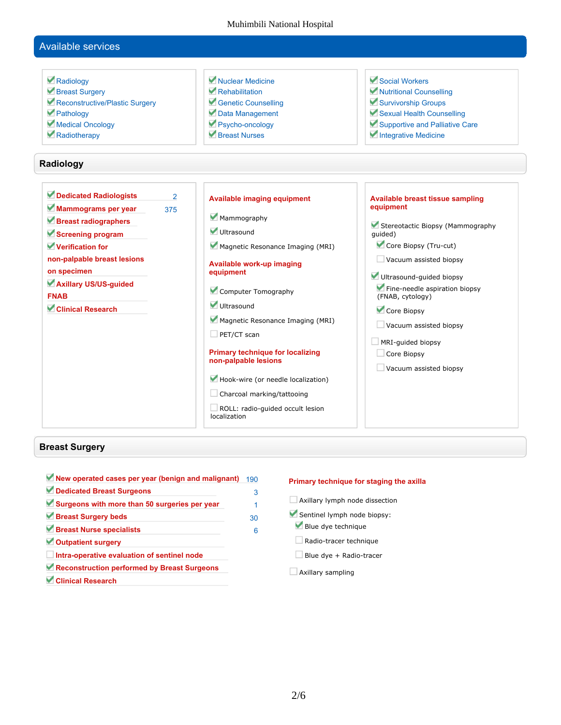Muhimbili National Hospital

# **Available services**

| Radiology                                | Nuclear Medicine                                 | Social Workers                              |
|------------------------------------------|--------------------------------------------------|---------------------------------------------|
| Breast Surgery                           | Rehabilitation                                   | Nutritional Counselling                     |
| Reconstructive/Plastic Surgery           | Genetic Counselling                              | Survivorship Groups                         |
| Pathology                                | Data Management                                  | Sexual Health Counselling                   |
| Medical Oncology                         | Psycho-oncology                                  | Supportive and Palliative Care              |
| Radiotherapy                             | Rreast Nurses                                    | Integrative Medicine                        |
| Radiology                                |                                                  |                                             |
| Dedicated Radiologists<br>$\overline{2}$ | <b>Available imaging equipment</b>               | <b>Available breast tissue sampling</b>     |
| Mammograms per year<br>375               |                                                  | equipment                                   |
| Breast radiographers                     | Mammography                                      |                                             |
| Screening program                        | Ultrasound                                       | Stereotactic Biopsy (Mammography<br>quided) |
| Verification for                         | Magnetic Resonance Imaging (MRI)                 | Core Biopsy (Tru-cut)                       |
| non-palpable breast lesions              |                                                  | Vacuum assisted biopsy                      |
| on specimen                              | Available work-up imaging<br>equipment           |                                             |
| Axillary US/US-guided                    |                                                  | Ultrasound-guided biopsy                    |
| <b>FNAB</b>                              | Computer Tomography                              | Fine-needle aspiration biopsy               |
| <b>Clinical Research</b>                 | Ultrasound                                       | (FNAB, cytology)                            |
|                                          |                                                  | Core Biopsy                                 |
|                                          | Magnetic Resonance Imaging (MRI)                 | $\Box$ Vacuum assisted biopsy               |
|                                          | $\Box$ PET/CT scan                               |                                             |
|                                          | <b>Primary technique for localizing</b>          | MRI-guided biopsy<br>Core Biopsy            |
|                                          | non-palpable lesions                             |                                             |
|                                          |                                                  | Vacuum assisted biopsy                      |
|                                          | Hook-wire (or needle localization)               |                                             |
|                                          | Charcoal marking/tattooing                       |                                             |
|                                          | ROLL: radio-quided occult lesion<br>localization |                                             |

## **Breast Surgery**

| New operated cases per year (benign and malignant) | 190 |
|----------------------------------------------------|-----|
| Dedicated Breast Surgeons                          | 3   |
| Surgeons with more than 50 surgeries per year      |     |
| Breast Surgery beds                                | 30  |
| Breast Nurse specialists                           | 6   |
| Outpatient surgery                                 |     |
| Intra-operative evaluation of sentinel node        |     |
| Reconstruction performed by Breast Surgeons        |     |
| <b>Clinical Research</b>                           |     |

#### **Primary technique for staging the axilla**

- **Axillary lymph node dissection**
- **Sentinel lymph node biopsy:**
- **Blue dye technique**
- **Radio-tracer technique**
- **Blue dye + Radio-tracer**
- **Axillary sampling**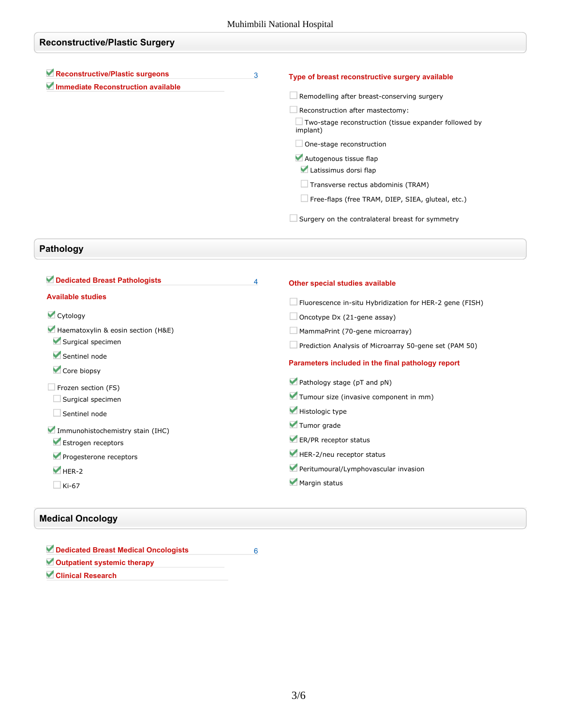# **Reconstructive/Plastic Surgery Reconstructive/Plastic surgeons 3 Immediate Reconstruction available Type of breast reconstructive surgery available Remodelling after breast-conserving surgery Reconstruction after mastectomy: Two-stage reconstruction (tissue expander followed by implant) One-stage reconstruction Autogenous tissue flap Latissimus dorsi flap Transverse rectus abdominis (TRAM) Free-flaps (free TRAM, DIEP, SIEA, gluteal, etc.) Surgery on the contralateral breast for symmetry**

# **Pathology**

| Dedicated Breast Pathologists      | 4 | Other special studies available                                 |
|------------------------------------|---|-----------------------------------------------------------------|
| <b>Available studies</b>           |   | $\Box$ Fluorescence in-situ Hybridization for HER-2 gene (FISH) |
| Cytology                           |   | $\Box$ Oncotype Dx (21-gene assay)                              |
| Haematoxylin & eosin section (H&E) |   | $\Box$ MammaPrint (70-gene microarray)                          |
| Surgical specimen                  |   | Prediction Analysis of Microarray 50-gene set (PAM 50)          |
| Sentinel node<br>Core biopsy       |   | Parameters included in the final pathology report               |
| $\Box$ Frozen section (FS)         |   | Pathology stage (pT and pN)                                     |
| Surgical specimen                  |   | Tumour size (invasive component in mm)                          |
| Sentinel node                      |   | Histologic type                                                 |
| Immunohistochemistry stain (IHC)   |   | Tumor grade                                                     |
| Estrogen receptors                 |   | ER/PR receptor status                                           |
| Progesterone receptors             |   | HER-2/neu receptor status                                       |
| $HER-2$                            |   | Peritumoural/Lymphovascular invasion                            |
| $\Box$ Ki-67                       |   | Margin status                                                   |

## **Medical Oncology**

| Dedicated Breast Medical Oncologists |  |
|--------------------------------------|--|
| Outpatient systemic therapy          |  |
| Clinical Research                    |  |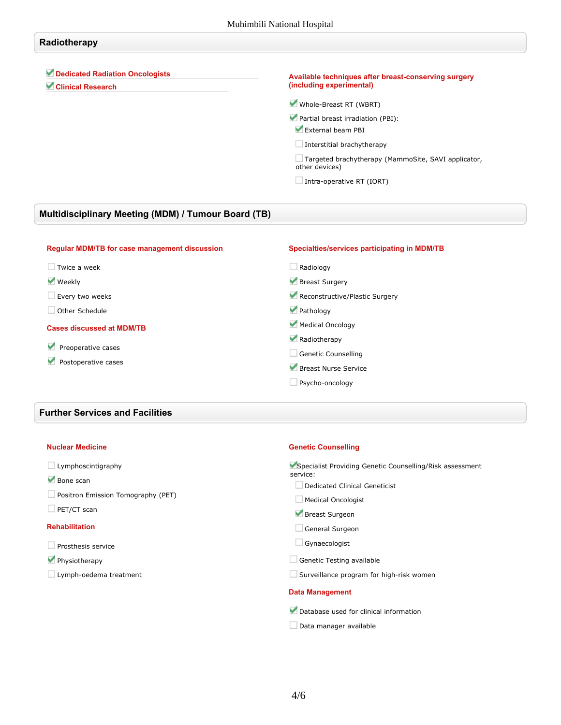# **Radiotherapy Dedicated Radiation Oncologists Clinical Research Available techniques after breast-conserving surgery (including experimental) Whole-Breast RT (WBRT) Partial breast irradiation (PBI): External beam PBI Interstitial brachytherapy Targeted brachytherapy (MammoSite, SAVI applicator, other devices) Intra-operative RT (IORT)**

### **Multidisciplinary Meeting (MDM) / Tumour Board (TB)**

| <b>Regular MDM/TB for case management discussion</b> | Specialties/services participating in MDM/TB |
|------------------------------------------------------|----------------------------------------------|
| Twice a week                                         | Radiology                                    |
| <b>Weekly</b>                                        | Breast Surgery                               |
| Every two weeks                                      | Reconstructive/Plastic Surgery               |
| Other Schedule                                       | Pathology                                    |
| <b>Cases discussed at MDM/TB</b>                     | Medical Oncology                             |
|                                                      | Radiotherapy                                 |
| Preoperative cases<br>v<br>Postoperative cases       | <b>Genetic Counselling</b>                   |
|                                                      | Breast Nurse Service                         |
|                                                      | Psycho-oncology                              |

## **Further Services and Facilities**

#### **Nuclear Medicine**

- **Bone scan**
- **Positron Emission Tomography (PET)**
- **PET/CT scan**

#### **Rehabilitation**

- **Prosthesis service**
- **Physiotherapy**
- **Lymph-oedema treatment**

#### **Genetic Counselling**

**Specialist Providing Genetic Counselling/Risk assessment service:**

- **Dedicated Clinical Geneticist**
- **Medical Oncologist**
- **Breast Surgeon**
- **General Surgeon**
- **Gynaecologist**
- **Genetic Testing available**
- **Surveillance program for high-risk women**

#### **Data Management**

- **Database used for clinical information**
- **Data manager available**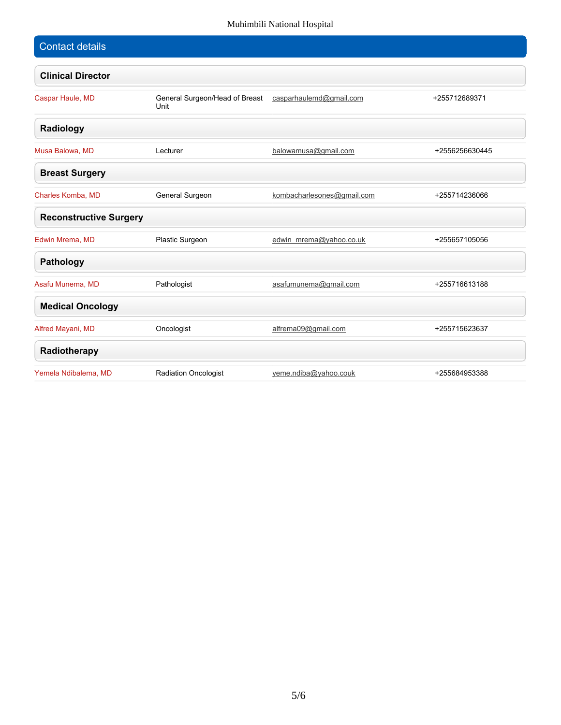### Muhimbili National Hospital

| <b>Contact details</b>        |                                        |                            |                |
|-------------------------------|----------------------------------------|----------------------------|----------------|
| <b>Clinical Director</b>      |                                        |                            |                |
| Caspar Haule, MD              | General Surgeon/Head of Breast<br>Unit | casparhaulemd@gmail.com    | +255712689371  |
| Radiology                     |                                        |                            |                |
| Musa Balowa, MD               | Lecturer                               | balowamusa@gmail.com       | +2556256630445 |
| <b>Breast Surgery</b>         |                                        |                            |                |
| Charles Komba, MD             | General Surgeon                        | kombacharlesones@gmail.com | +255714236066  |
| <b>Reconstructive Surgery</b> |                                        |                            |                |
| Edwin Mrema, MD               | Plastic Surgeon                        | edwin_mrema@yahoo.co.uk    | +255657105056  |
| Pathology                     |                                        |                            |                |
| Asafu Munema, MD              | Pathologist                            | asafumunema@gmail.com      | +255716613188  |
| <b>Medical Oncology</b>       |                                        |                            |                |
| Alfred Mayani, MD             | Oncologist                             | alfrema09@gmail.com        | +255715623637  |
| Radiotherapy                  |                                        |                            |                |
| Yemela Ndibalema, MD          | Radiation Oncologist                   | yeme.ndiba@yahoo.couk      | +255684953388  |